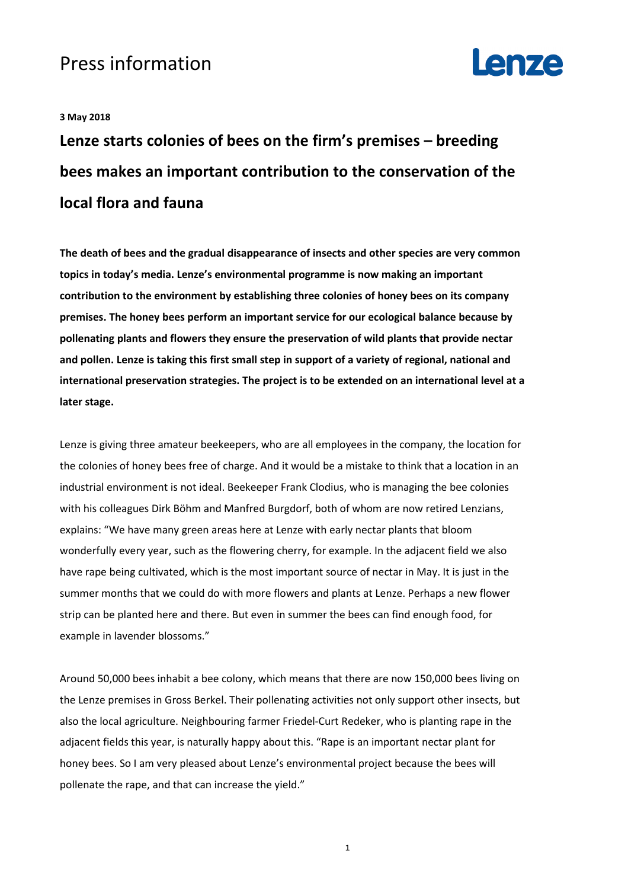## Press information



## **3 May 2018**

**Lenze starts colonies of bees on the firm's premises – breeding bees makes an important contribution to the conservation of the local flora and fauna** 

**The death of bees and the gradual disappearance of insects and other species are very common topics in today's media. Lenze's environmental programme is now making an important contribution to the environment by establishing three colonies of honey bees on its company premises. The honey bees perform an important service for our ecological balance because by pollenating plants and flowers they ensure the preservation of wild plants that provide nectar and pollen. Lenze is taking this first small step in support of a variety of regional, national and international preservation strategies. The project is to be extended on an international level at a later stage.** 

Lenze is giving three amateur beekeepers, who are all employees in the company, the location for the colonies of honey bees free of charge. And it would be a mistake to think that a location in an industrial environment is not ideal. Beekeeper Frank Clodius, who is managing the bee colonies with his colleagues Dirk Böhm and Manfred Burgdorf, both of whom are now retired Lenzians, explains: "We have many green areas here at Lenze with early nectar plants that bloom wonderfully every year, such as the flowering cherry, for example. In the adjacent field we also have rape being cultivated, which is the most important source of nectar in May. It is just in the summer months that we could do with more flowers and plants at Lenze. Perhaps a new flower strip can be planted here and there. But even in summer the bees can find enough food, for example in lavender blossoms."

Around 50,000 bees inhabit a bee colony, which means that there are now 150,000 bees living on the Lenze premises in Gross Berkel. Their pollenating activities not only support other insects, but also the local agriculture. Neighbouring farmer Friedel-Curt Redeker, who is planting rape in the adjacent fields this year, is naturally happy about this. "Rape is an important nectar plant for honey bees. So I am very pleased about Lenze's environmental project because the bees will pollenate the rape, and that can increase the yield."

1